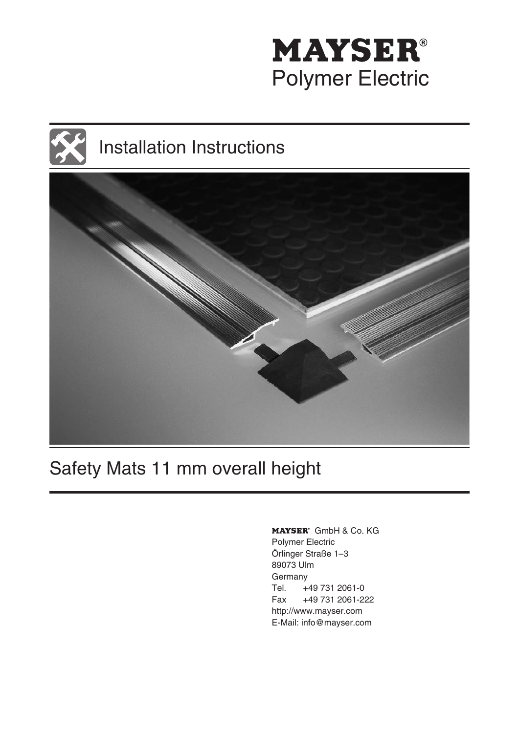

# Installation Instructions



# Safety Mats 11 mm overall height

MAYSER<sup>®</sup> GmbH & Co. KG Polymer Electric Örlinger Straße 1–3 89073 Ulm Germany Tel. +49 731 2061-0 Fax +49 731 2061-222 http://www.mayser.com E-Mail: info@mayser.com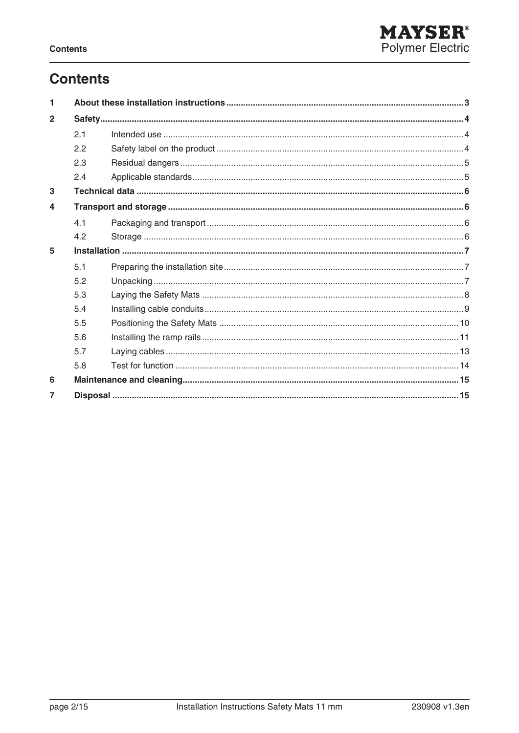## **Contents**

| $\overline{2}$ |     |  |  |
|----------------|-----|--|--|
|                | 2.1 |  |  |
|                | 2.2 |  |  |
|                | 2.3 |  |  |
|                | 2.4 |  |  |
| 3              |     |  |  |
| 4              |     |  |  |
|                | 41  |  |  |
|                | 4.2 |  |  |
| 5              |     |  |  |
|                | 5.1 |  |  |
|                | 5.2 |  |  |
|                | 5.3 |  |  |
|                | 54  |  |  |
|                | 5.5 |  |  |
|                | 5.6 |  |  |
|                | 5.7 |  |  |
|                | 5.8 |  |  |
| 6              |     |  |  |
| 7              |     |  |  |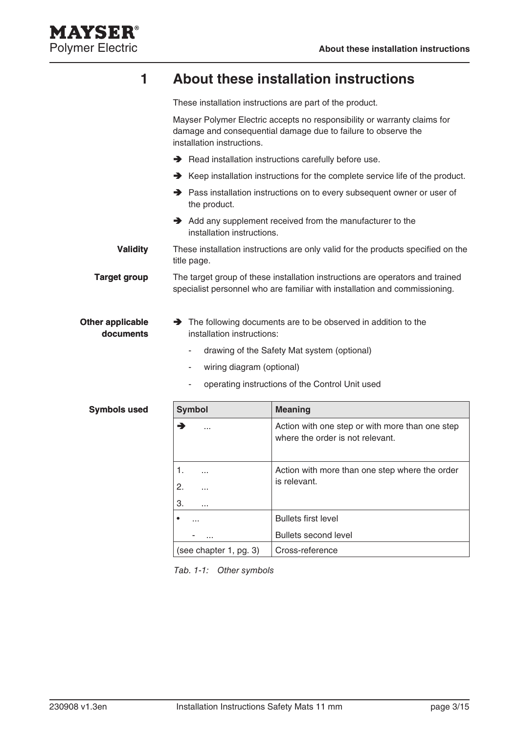

### **1 About these installation instructions**

These installation instructions are part of the product.

Mayser Polymer Electric accepts no responsibility or warranty claims for damage and consequential damage due to failure to observe the installation instructions.  $\rightarrow$  Read installation instructions carefully before use. Keep installation instructions for the complete service life of the product. → Pass installation instructions on to every subsequent owner or user of the product. Add any supplement received from the manufacturer to the installation instructions. These installation instructions are only valid for the products specified on the title page. The target group of these installation instructions are operators and trained specialist personnel who are familiar with installation and commissioning. The following documents are to be observed in addition to the installation instructions: **Validity Target group Other applicable documents**

- drawing of the Safety Mat system (optional) -
- wiring diagram (optional) -
- operating instructions of the Control Unit used -

| <b>Symbols used</b> | <b>Symbol</b>          | <b>Meaning</b>                                                                      |  |  |
|---------------------|------------------------|-------------------------------------------------------------------------------------|--|--|
|                     | →<br>$\cdots$          | Action with one step or with more than one step<br>where the order is not relevant. |  |  |
|                     | 1.<br>.                | Action with more than one step where the order                                      |  |  |
|                     | 2.<br>$\cdots$         | is relevant.                                                                        |  |  |
|                     | 3.<br>$\cdots$         |                                                                                     |  |  |
|                     | ٠<br>$\cdots$          | <b>Bullets first level</b>                                                          |  |  |
|                     | $\cdots$               | <b>Bullets second level</b>                                                         |  |  |
|                     | (see chapter 1, pg. 3) | Cross-reference                                                                     |  |  |

Tab. 1-1: Other symbols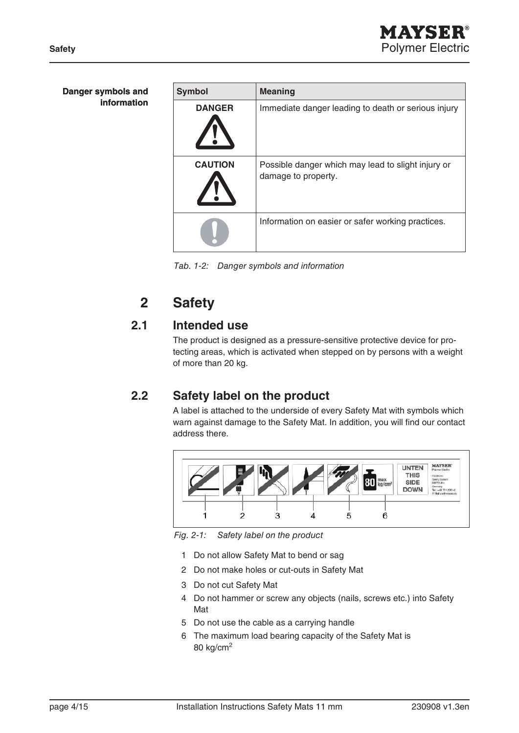| Danger symbols and | <b>Symbol</b>  | <b>Meaning</b>                                                            |  |  |
|--------------------|----------------|---------------------------------------------------------------------------|--|--|
| information        | <b>DANGER</b>  | Immediate danger leading to death or serious injury                       |  |  |
|                    | <b>CAUTION</b> | Possible danger which may lead to slight injury or<br>damage to property. |  |  |
|                    |                | Information on easier or safer working practices.                         |  |  |

Tab. 1-2: Danger symbols and information

## **2 Safety**

### **2.1 Intended use**

The product is designed as a pressure-sensitive protective device for protecting areas, which is activated when stepped on by persons with a weight of more than 20 kg.

### **2.2 Safety label on the product**

A label is attached to the underside of every Safety Mat with symbols which warn against damage to the Safety Mat. In addition, you will find our contact address there.



Fig. 2-1: Safety label on the product

- 1 Do not allow Safety Mat to bend or sag
- 2 Do not make holes or cut-outs in Safety Mat
- 3 Do not cut Safety Mat
- 4 Do not hammer or screw any objects (nails, screws etc.) into Safety Mat
- 5 Do not use the cable as a carrying handle
- 6 The maximum load bearing capacity of the Safety Mat is 80 kg/cm2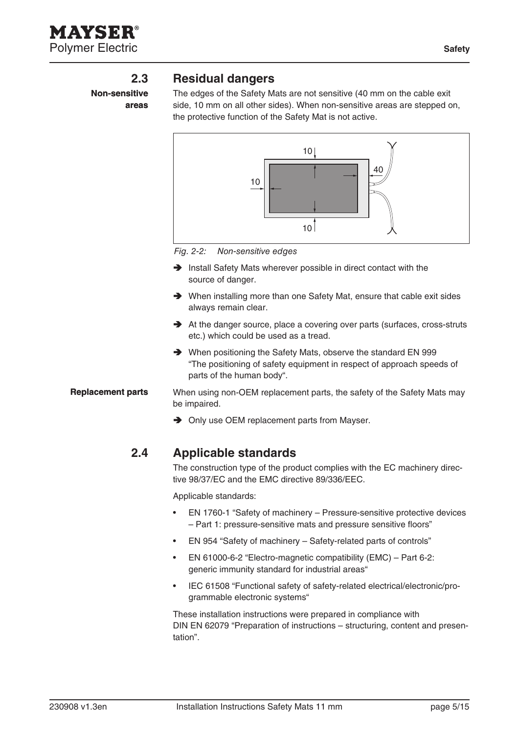AYSER Polymer Electric **Safety** Safety

**Non-sensitive areas**

#### **2.3 Residual dangers**

The edges of the Safety Mats are not sensitive (40 mm on the cable exit side, 10 mm on all other sides). When non-sensitive areas are stepped on, the protective function of the Safety Mat is not active.



Fig. 2-2: Non-sensitive edges

- Install Safety Mats wherever possible in direct contact with the source of danger.
- ◆ When installing more than one Safety Mat, ensure that cable exit sides always remain clear.
- At the danger source, place a covering over parts (surfaces, cross-struts etc.) which could be used as a tread.
- ◆ When positioning the Safety Mats, observe the standard EN 999 "The positioning of safety equipment in respect of approach speeds of parts of the human body".

When using non-OEM replacement parts, the safety of the Safety Mats may be impaired. **Replacement parts**

**→** Only use OEM replacement parts from Mayser.

#### **2.4 Applicable standards**

The construction type of the product complies with the EC machinery directive 98/37/EC and the EMC directive 89/336/EEC.

Applicable standards:

- EN 1760-1 "Safety of machinery Pressure-sensitive protective devices – Part 1: pressure-sensitive mats and pressure sensitive floors" •
- EN 954 "Safety of machinery Safety-related parts of controls" •
- EN 61000-6-2 "Electro-magnetic compatibility (EMC) Part 6-2: generic immunity standard for industrial areas" •
- IEC 61508 "Functional safety of safety-related electrical/electronic/programmable electronic systems" •

These installation instructions were prepared in compliance with DIN EN 62079 "Preparation of instructions – structuring, content and presentation".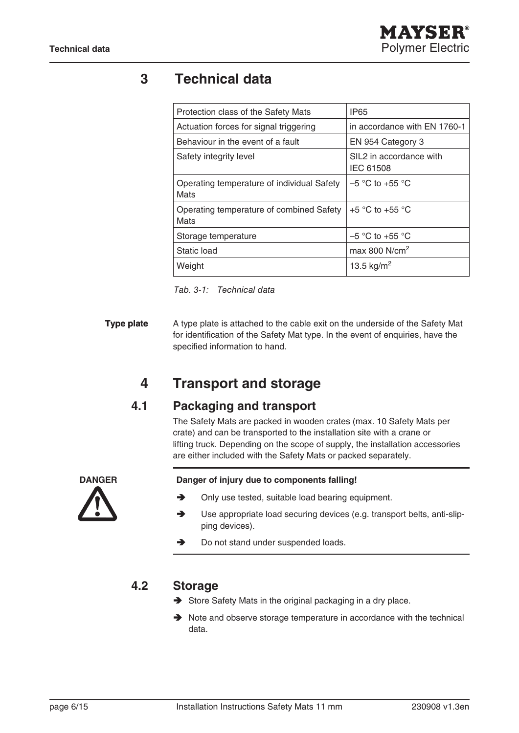### **3 Technical data**

| <b>IP65</b>                                 |  |
|---------------------------------------------|--|
| in accordance with EN 1760-1                |  |
| EN 954 Category 3                           |  |
| SIL2 in accordance with<br><b>IEC 61508</b> |  |
| $-5$ °C to +55 °C                           |  |
| $+5$ °C to $+55$ °C                         |  |
| $-5$ °C to +55 °C                           |  |
| max 800 $N/cm2$                             |  |
| 13.5 kg/m <sup>2</sup>                      |  |
|                                             |  |

Tab. 3-1: Technical data

A type plate is attached to the cable exit on the underside of the Safety Mat for identification of the Safety Mat type. In the event of enquiries, have the specified information to hand. **Type plate**

### **4 Transport and storage**

### **4.1 Packaging and transport**

The Safety Mats are packed in wooden crates (max. 10 Safety Mats per crate) and can be transported to the installation site with a crane or lifting truck. Depending on the scope of supply, the installation accessories are either included with the Safety Mats or packed separately.



#### **Danger Danger of injury due to components falling!**

- Only use tested, suitable load bearing equipment. →
- Use appropriate load securing devices (e.g. transport belts, anti-slipping devices).  $\blacktriangleright$
- Do not stand under suspended loads. →

#### **4.2 Storage**

- Store Safety Mats in the original packaging in a dry place.
- $\rightarrow$  Note and observe storage temperature in accordance with the technical data.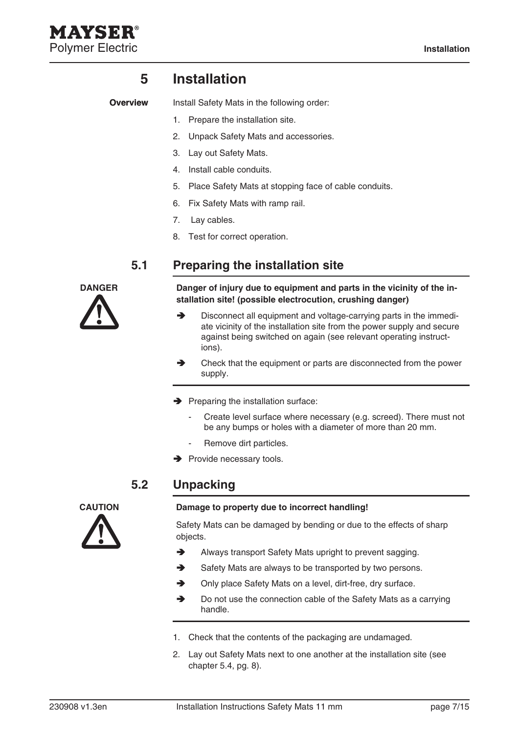### **5 Installation**

**Overview**

AYSEL

Install Safety Mats in the following order:

- 1. Prepare the installation site.
- 2. Unpack Safety Mats and accessories.
- 3. Lay out Safety Mats.
- 4. Install cable conduits.
- 5. Place Safety Mats at stopping face of cable conduits.
- 6. Fix Safety Mats with ramp rail.
- 7. Lay cables.
- 8. Test for correct operation.

#### **5.1 Preparing the installation site**



**Danger Danger of injury due to equipment and parts in the vicinity of the installation site! (possible electrocution, crushing danger)**

- Disconnect all equipment and voltage-carrying parts in the immediate vicinity of the installation site from the power supply and secure against being switched on again (see relevant operating instructions). →
- Check that the equipment or parts are disconnected from the power supply. **A**
- $\rightarrow$  Preparing the installation surface:
	- Create level surface where necessary (e.g. screed). There must not be any bumps or holes with a diameter of more than 20 mm. -
	- Remove dirt particles. -
- $\rightarrow$  Provide necessary tools.

#### **5.2 Unpacking**



#### **Caution Damage to property due to incorrect handling!**

Safety Mats can be damaged by bending or due to the effects of sharp objects.

- Always transport Safety Mats upright to prevent sagging. →
- Safety Mats are always to be transported by two persons.  $\rightarrow$
- Only place Safety Mats on a level, dirt-free, dry surface. →
- Do not use the connection cable of the Safety Mats as a carrying handle. A
- Check that the contents of the packaging are undamaged. 1.
- Lay out Safety Mats next to one another at the installation site (see 2. chapter 5.4, pg. 8).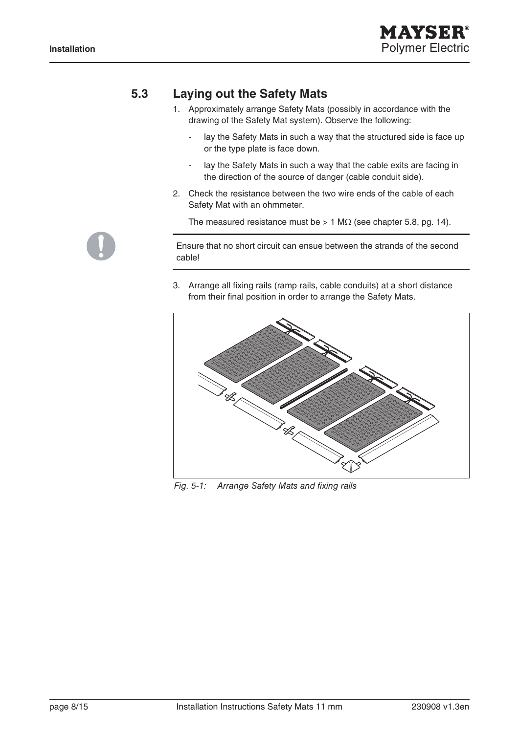

### **5.3 Laying out the Safety Mats**

- 1. Approximately arrange Safety Mats (possibly in accordance with the drawing of the Safety Mat system). Observe the following:
	- lay the Safety Mats in such a way that the structured side is face up or the type plate is face down. -
	- lay the Safety Mats in such a way that the cable exits are facing in the direction of the source of danger (cable conduit side). -
- 2. Check the resistance between the two wire ends of the cable of each Safety Mat with an ohmmeter.

The measured resistance must be > 1 M $\Omega$  (see chapter 5.8, pg. 14).

Ensure that no short circuit can ensue between the strands of the second cable!

Arrange all fixing rails (ramp rails, cable conduits) at a short distance 3.from their final position in order to arrange the Safety Mats.



Fig. 5-1: Arrange Safety Mats and fixing rails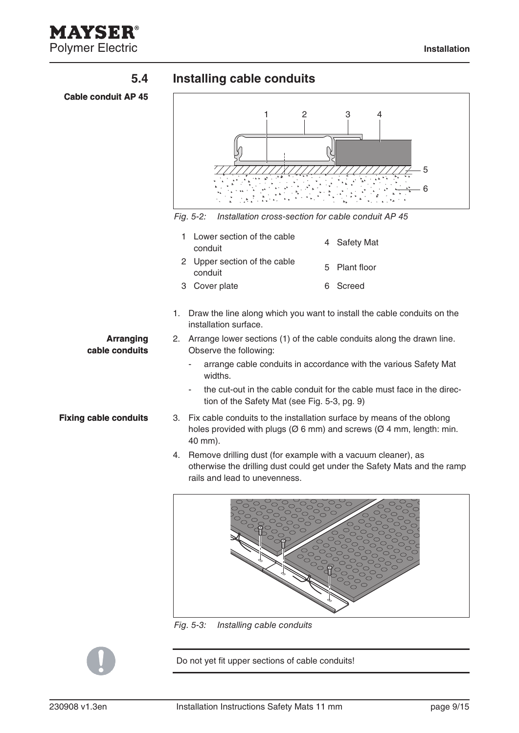

### **5.4 Installing cable conduits**

**Cable conduit AP 45**



Fig. 5-2: Installation cross-section for cable conduit AP 45

| 1 Lower section of the cable<br>conduit | 4 Safety Mat  |
|-----------------------------------------|---------------|
| 2 Upper section of the cable<br>conduit | 5 Plant floor |
| 3 Cover plate                           | 6 Screed      |

1. Draw the line along which you want to install the cable conduits on the installation surface.

#### Arrange lower sections (1) of the cable conduits along the drawn line. 2. Observe the following: **Arranging cable conduits**

arrange cable conduits in accordance with the various Safety Mat widths. -

- the cut-out in the cable conduit for the cable must face in the direction of the Safety Mat (see Fig. 5-3, pg. 9) -
- Fix cable conduits to the installation surface by means of the oblong 3. holes provided with plugs ( $\varnothing$  6 mm) and screws ( $\varnothing$  4 mm, length: min. 40 mm).
	- 4. Remove drilling dust (for example with a vacuum cleaner), as otherwise the drilling dust could get under the Safety Mats and the ramp rails and lead to unevenness.



Fig. 5-3: Installing cable conduits



**Fixing cable conduits**

Do not yet fit upper sections of cable conduits!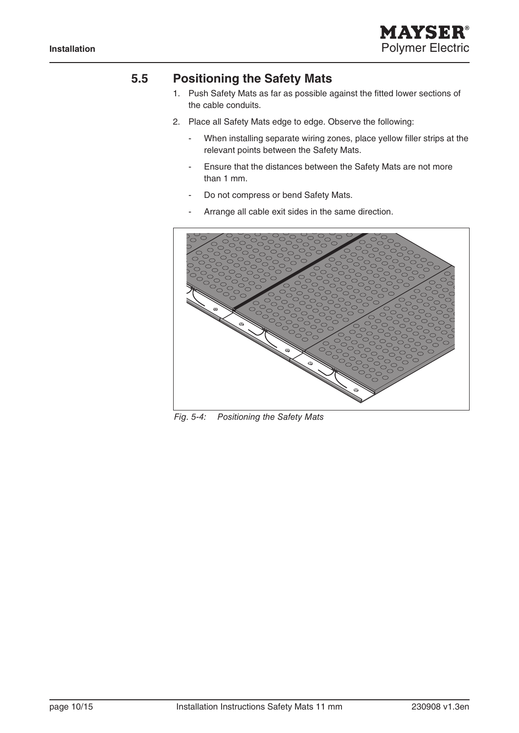

#### **5.5 Positioning the Safety Mats**

- 1. Push Safety Mats as far as possible against the fitted lower sections of the cable conduits.
- Place all Safety Mats edge to edge. Observe the following: 2.
	- When installing separate wiring zones, place yellow filler strips at the relevant points between the Safety Mats. -
	- Ensure that the distances between the Safety Mats are not more than 1 mm. -
	- Do not compress or bend Safety Mats. -
	- Arrange all cable exit sides in the same direction. -



Fig. 5-4: Positioning the Safety Mats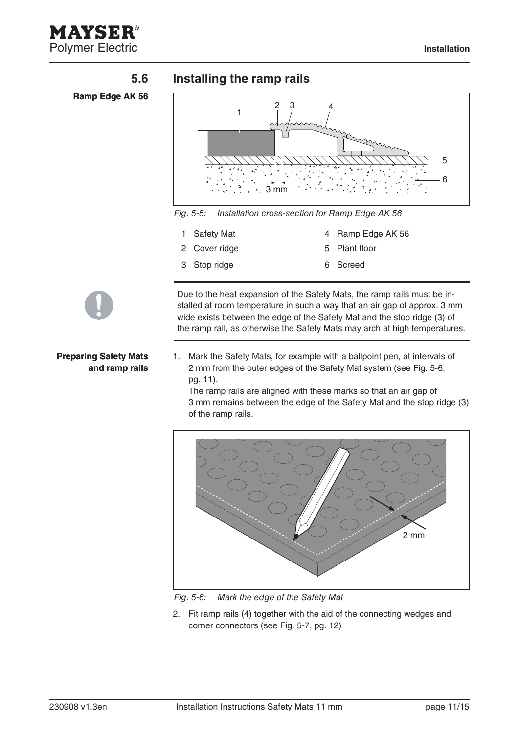

#### **5.6 Installing the ramp rails**





Fig. 5-5: Installation cross-section for Ramp Edge AK 56

- 1 Safety Mat 4 Ramp Edge AK 56
- 2 Cover ridge 5 Plant floor
- 3 Stop ridge 6 Screed

#### **Preparing Safety Mats and ramp rails**

- Due to the heat expansion of the Safety Mats, the ramp rails must be installed at room temperature in such a way that an air gap of approx. 3 mm wide exists between the edge of the Safety Mat and the stop ridge (3) of the ramp rail, as otherwise the Safety Mats may arch at high temperatures.
- Mark the Safety Mats, for example with a ballpoint pen, at intervals of 1. 2 mm from the outer edges of the Safety Mat system (see Fig. 5-6, pg. 11).

The ramp rails are aligned with these marks so that an air gap of 3 mm remains between the edge of the Safety Mat and the stop ridge (3) of the ramp rails.



Fig. 5-6: Mark the edge of the Safety Mat

Fit ramp rails (4) together with the aid of the connecting wedges and 2. corner connectors (see Fig. 5-7, pg. 12)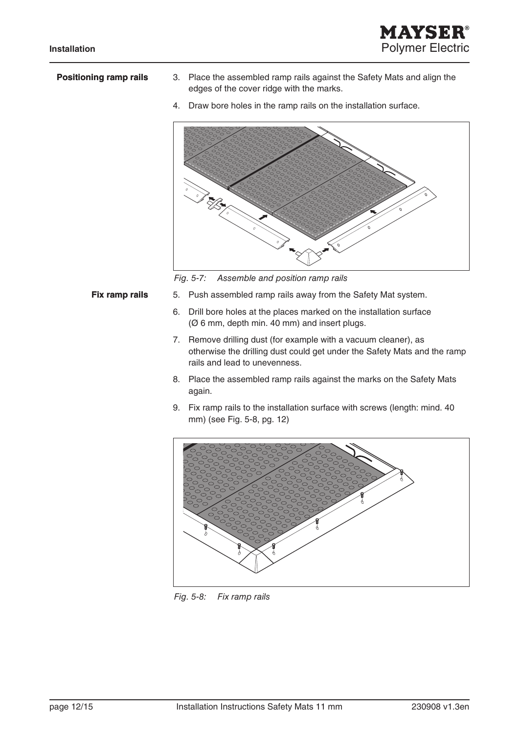

#### **Positioning ramp rails**

- Place the assembled ramp rails against the Safety Mats and align the 3. edges of the cover ridge with the marks.
- 4. Draw bore holes in the ramp rails on the installation surface.



Fig. 5-7: Assemble and position ramp rails

#### **Fix ramp rails**

- 5. Push assembled ramp rails away from the Safety Mat system.
	- 6. Drill bore holes at the places marked on the installation surface (Ø 6 mm, depth min. 40 mm) and insert plugs.
	- 7. Remove drilling dust (for example with a vacuum cleaner), as otherwise the drilling dust could get under the Safety Mats and the ramp rails and lead to unevenness.
	- Place the assembled ramp rails against the marks on the Safety Mats 8. again.
	- Fix ramp rails to the installation surface with screws (length: mind. 40 9. mm) (see Fig. 5-8, pg. 12)



Fig. 5-8: Fix ramp rails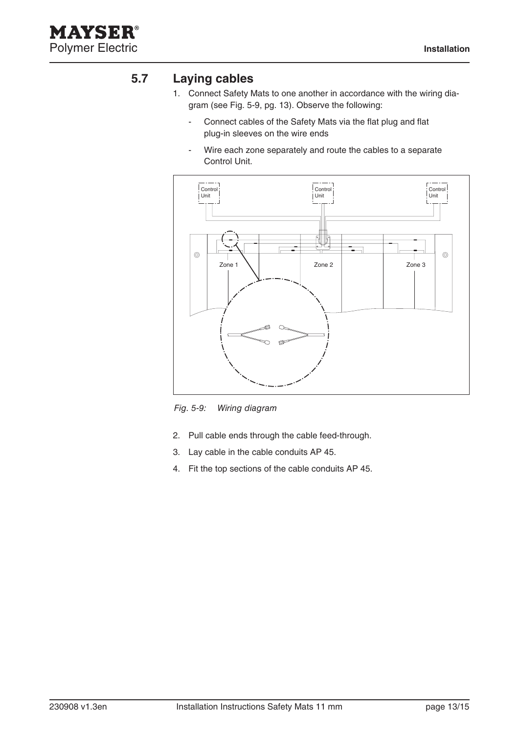

#### **5.7 Laying cables**

- Connect Safety Mats to one another in accordance with the wiring dia-1. gram (see Fig. 5-9, pg. 13). Observe the following:
	- Connect cables of the Safety Mats via the flat plug and flat plug-in sleeves on the wire ends -
	- Wire each zone separately and route the cables to a separate Control Unit. -



Fig. 5-9: Wiring diagram

- 2. Pull cable ends through the cable feed-through.
- Lay cable in the cable conduits AP 45. 3.
- 4. Fit the top sections of the cable conduits AP 45.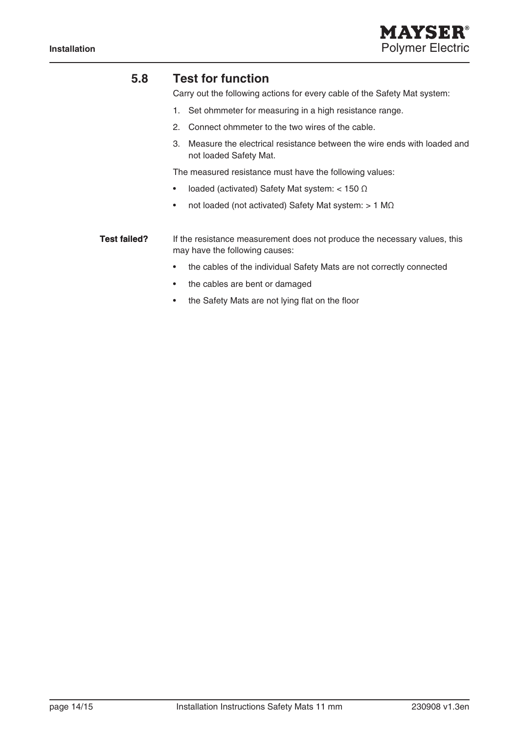

#### **5.8 Test for function**

Carry out the following actions for every cable of the Safety Mat system:

- 1. Set ohmmeter for measuring in a high resistance range.
- 2. Connect ohmmeter to the two wires of the cable.
- Measure the electrical resistance between the wire ends with loaded and 3. not loaded Safety Mat.

The measured resistance must have the following values:

- loaded (activated) Safety Mat system: < 150 Ω •
- not loaded (not activated) Safety Mat system: > 1 MΩ •

If the resistance measurement does not produce the necessary values, this may have the following causes: **Test failed?**

- the cables of the individual Safety Mats are not correctly connected •
- the cables are bent or damaged •
- the Safety Mats are not lying flat on the floor •